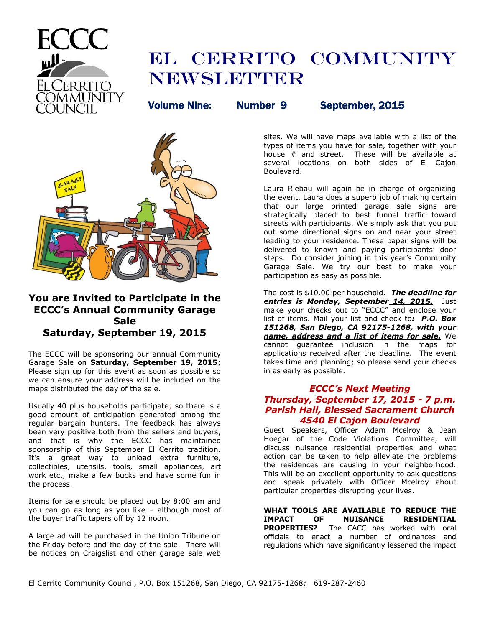

# EL CERRITO COMMUNITY **NEWSLETTER**

Volume Nine: Number 9 September, 2015



# **You are Invited to Participate in the ECCC's Annual Community Garage Sale Saturday, September 19, 2015**

The ECCC will be sponsoring our annual Community Garage Sale on **Saturday, September 19, 2015**; Please sign up for this event as soon as possible so we can ensure your address will be included on the maps distributed the day of the sale.

Usually 40 plus households participate; so there is a good amount of anticipation generated among the regular bargain hunters. The feedback has always been very positive both from the sellers and buyers, and that is why the ECCC has maintained sponsorship of this September El Cerrito tradition. It's a great way to unload extra furniture, collectibles, utensils, tools, small appliances, art work etc., make a few bucks and have some fun in the process.

Items for sale should be placed out by 8:00 am and you can go as long as you like – although most of the buyer traffic tapers off by 12 noon.

A large ad will be purchased in the Union Tribune on the Friday before and the day of the sale. There will be notices on Craigslist and other garage sale web

sites. We will have maps available with a list of the types of items you have for sale, together with your house # and street. These will be available at several locations on both sides of El Cajon Boulevard.

Laura Riebau will again be in charge of organizing the event. Laura does a superb job of making certain that our large printed garage sale signs are strategically placed to best funnel traffic toward streets with participants. We simply ask that you put out some directional signs on and near your street leading to your residence. These paper signs will be delivered to known and paying participants' door steps. Do consider joining in this year's Community Garage Sale. We try our best to make your participation as easy as possible.

The cost is \$10.00 per household. *The deadline for entries is Monday, September 14, 2015.* Just make your checks out to "ECCC" and enclose your list of items. Mail your list and check to*: P.O. Box 151268, San Diego, CA 92175-1268, with your name, address and a list of items for sale.* We cannot guarantee inclusion in the maps for applications received after the deadline. The event takes time and planning; so please send your checks in as early as possible.

## *ECCC's Next Meeting Thursday, September 17, 2015 - 7 p.m. Parish Hall, Blessed Sacrament Church 4540 El Cajon Boulevard*

Guest Speakers, Officer Adam Mcelroy & Jean Hoegar of the Code Violations Committee, will discuss nuisance residential properties and what action can be taken to help alleviate the problems the residences are causing in your neighborhood. This will be an excellent opportunity to ask questions and speak privately with Officer Mcelroy about particular properties disrupting your lives.

**WHAT TOOLS ARE AVAILABLE TO REDUCE THE IMPACT OF NUISANCE RESIDENTIAL PROPERTIES?** The CACC has worked with local officials to enact a number of ordinances and regulations which have significantly lessened the impact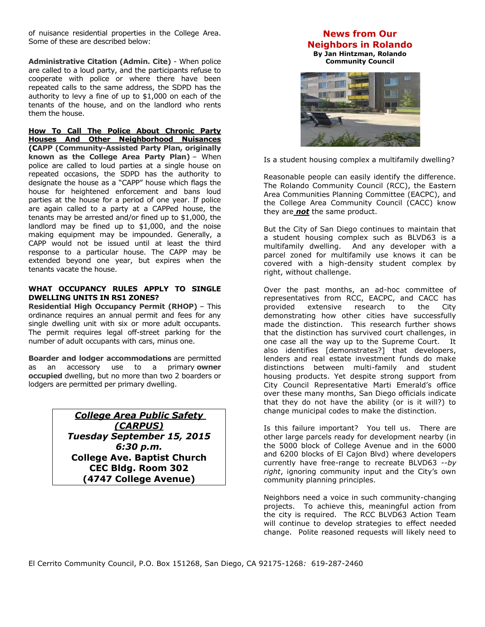of nuisance residential properties in the College Area. Some of these are described below:

**Administrative Citation (Admin. Cite)** - When police are called to a loud party, and the participants refuse to cooperate with police or where there have been repeated calls to the same address, the SDPD has the authority to levy a fine of up to \$1,000 on each of the tenants of the house, and on the landlord who rents them the house.

**[How To Call The Police About Chronic Party](http://collegearea.org/cacc/images/pdf/How%20To%20Call%20The%20Police%20About%20Chronic%20Party.pdf)  [Houses And Other Neighborhood Nuisances](http://collegearea.org/cacc/images/pdf/How%20To%20Call%20The%20Police%20About%20Chronic%20Party.pdf)  (CAPP (Community-Assisted Party Plan, originally known as the College Area Party Plan)** – When police are called to loud parties at a single house on repeated occasions, the SDPD has the authority to designate the house as a "CAPP" house which flags the house for heightened enforcement and bans loud parties at the house for a period of one year. If police are again called to a party at a CAPPed house, the tenants may be arrested and/or fined up to \$1,000, the landlord may be fined up to \$1,000, and the noise making equipment may be impounded. Generally, a CAPP would not be issued until at least the third response to a particular house. The CAPP may be extended beyond one year, but expires when the tenants vacate the house.

#### **WHAT OCCUPANCY RULES APPLY TO SINGLE DWELLING UNITS IN RS1 ZONES?**

**Residential High Occupancy Permit (RHOP)** – This ordinance requires an annual permit and fees for any single dwelling unit with six or more adult occupants. The permit requires legal off-street parking for the number of adult occupants with cars, minus one.

**Boarder and lodger accommodations** are permitted as an accessory use to a primary **owner occupied** dwelling, but no more than two 2 boarders or lodgers are permitted per primary dwelling.

> *College Area Public Safety (CARPUS) Tuesday September 15, 2015 6:30 p.m.* **College Ave. Baptist Church CEC Bldg. Room 302 (4747 College Avenue)**

# **News from Our Neighbors in Rolando**

**By Jan Hintzman, Rolando Community Council**



Is a student housing complex a multifamily dwelling?

Reasonable people can easily identify the difference. The Rolando Community Council (RCC), the Eastern Area Communities Planning Committee (EACPC), and the College Area Community Council (CACC) know they are *not* the same product.

But the City of San Diego continues to maintain that a student housing complex such as BLVD63 is a multifamily dwelling. And any developer with a parcel zoned for multifamily use knows it can be covered with a high-density student complex by right, without challenge.

Over the past months, an ad-hoc committee of representatives from RCC, EACPC, and CACC has provided extensive research to the City demonstrating how other cities have successfully made the distinction. This research further shows that the distinction has survived court challenges, in one case all the way up to the Supreme Court. It also identifies [demonstrates?] that developers, lenders and real estate investment funds do make distinctions between multi-family and student housing products. Yet despite strong support from City Council Representative Marti Emerald's office over these many months, San Diego officials indicate that they do not have the ability (or is it will?) to change municipal codes to make the distinction.

Is this failure important? You tell us. There are other large parcels ready for development nearby (in the 5000 block of College Avenue and in the 6000 and 6200 blocks of El Cajon Blvd) where developers currently have free-range to recreate BLVD63 --*by right*, ignoring community input and the City's own community planning principles.

Neighbors need a voice in such community-changing projects. To achieve this, meaningful action from the city is required. The RCC BLVD63 Action Team will continue to develop strategies to effect needed change. Polite reasoned requests will likely need to

El Cerrito Community Council, P.O. Box 151268, San Diego, CA 92175-1268*:* 619-287-2460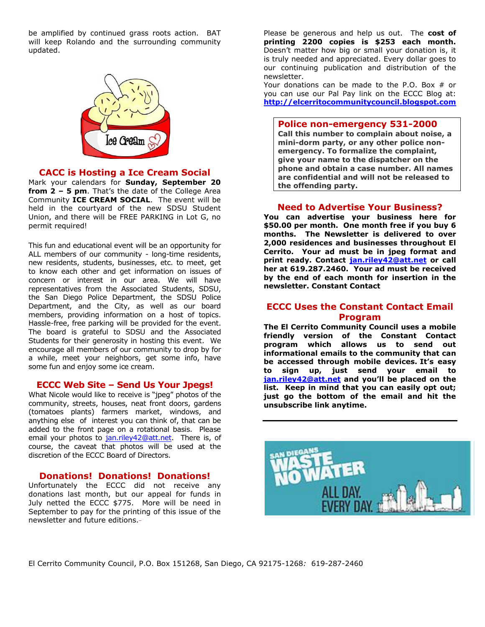be amplified by continued grass roots action. BAT will keep Rolando and the surrounding community updated.



### **CACC is Hosting a Ice Cream Social**

Mark your calendars for **Sunday, September 20 from 2 – 5 pm**. That's the date of the College Area Community **ICE CREAM SOCIAL**. The event will be held in the courtyard of the new SDSU Student Union, and there will be FREE PARKING in Lot G, no permit required!

This fun and educational event will be an opportunity for ALL members of our community - long-time residents, new residents, students, businesses, etc. to meet, get to know each other and get information on issues of concern or interest in our area. We will have representatives from the Associated Students, SDSU, the San Diego Police Department, the SDSU Police Department, and the City, as well as our board members, providing information on a host of topics. Hassle-free, free parking will be provided for the event. The board is grateful to SDSU and the Associated Students for their generosity in hosting this event. We encourage all members of our community to drop by for a while, meet your neighbors, get some info, have some fun and enjoy some ice cream.

#### **ECCC Web Site – Send Us Your Jpegs!**

What Nicole would like to receive is "jpeg" photos of the community, streets, houses, neat front doors, gardens (tomatoes plants) farmers market, windows, and anything else of interest you can think of, that can be added to the front page on a rotational basis. Please email your photos to [jan.riley42@att.net.](mailto:jan.riley42@att.net) There is, of course, the caveat that photos will be used at the discretion of the ECCC Board of Directors.

### **Donations! Donations! Donations!**

Unfortunately the ECCC did not receive any donations last month, but our appeal for funds in July netted the ECCC \$775. More will be need in September to pay for the printing of this issue of the newsletter and future editions.

Please be generous and help us out. The **cost of printing 2200 copies is \$253 each month.** Doesn't matter how big or small your donation is, it is truly needed and appreciated. Every dollar goes to our continuing publication and distribution of the newsletter.

Your donations can be made to the P.O. Box # or you can use our Pal Pay link on the ECCC Blog at: **[http://elcerritocommunitycouncil.blogspot.com](http://elcerritocommunitycouncil.blogspot.com/)**

#### **Police non-emergency 531-2000**

**Call this number to complain about noise, a mini-dorm party, or any other police nonemergency. To formalize the complaint, give your name to the dispatcher on the phone and obtain a case number. All names are confidential and will not be released to the offending party.**

### **Need to Advertise Your Business?**

**You can advertise your business here for \$50.00 per month. One month free if you buy 6 months. The Newsletter is delivered to over 2,000 residences and businesses throughout El Cerrito. Your ad must be in jpeg format and print ready. Contact [jan.riley42@att.net](mailto:jan.riley42@att.net) or call her at 619.287.2460. Your ad must be received by the end of each month for insertion in the newsletter. Constant Contact**

### **ECCC Uses the Constant Contact Email Program**

**The El Cerrito Community Council uses a mobile friendly version of the Constant Contact program which allows us to send out informational emails to the community that can be accessed through mobile devices. It's easy to sign up, just send your email to [jan.riley42@att.net](mailto:jan.riley42@att.net) and you'll be placed on the list. Keep in mind that you can easily opt out; just go the bottom of the email and hit the unsubscribe link anytime.** 



El Cerrito Community Council, P.O. Box 151268, San Diego, CA 92175-1268*:* 619-287-2460